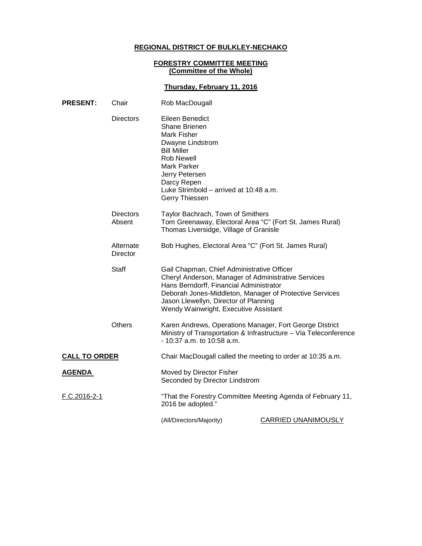# **REGIONAL DISTRICT OF BULKLEY-NECHAKO**

### **FORESTRY COMMITTEE MEETING (Committee of the Whole)**

## **Thursday, February 11, 2016**

| <b>PRESENT:</b>            | Chair                 | Rob MacDougall                                                                                                                                                                                                                    |                                                                                                                                                                                                                                                                                           |  |
|----------------------------|-----------------------|-----------------------------------------------------------------------------------------------------------------------------------------------------------------------------------------------------------------------------------|-------------------------------------------------------------------------------------------------------------------------------------------------------------------------------------------------------------------------------------------------------------------------------------------|--|
|                            | <b>Directors</b>      | Eileen Benedict<br>Shane Brienen<br>Mark Fisher<br>Dwayne Lindstrom<br><b>Bill Miller</b><br><b>Rob Newell</b><br><b>Mark Parker</b><br>Jerry Petersen<br>Darcy Repen<br>Luke Strimbold - arrived at 10:48 a.m.<br>Gerry Thiessen |                                                                                                                                                                                                                                                                                           |  |
| <b>Directors</b><br>Absent |                       | Taylor Bachrach, Town of Smithers<br>Tom Greenaway, Electoral Area "C" (Fort St. James Rural)<br>Thomas Liversidge, Village of Granisle                                                                                           |                                                                                                                                                                                                                                                                                           |  |
|                            | Alternate<br>Director | Bob Hughes, Electoral Area "C" (Fort St. James Rural)                                                                                                                                                                             |                                                                                                                                                                                                                                                                                           |  |
|                            | Staff                 |                                                                                                                                                                                                                                   | Gail Chapman, Chief Administrative Officer<br>Cheryl Anderson, Manager of Administrative Services<br>Hans Berndorff, Financial Administrator<br>Deborah Jones-Middleton, Manager of Protective Services<br>Jason Llewellyn, Director of Planning<br>Wendy Wainwright, Executive Assistant |  |
|                            | <b>Others</b>         | Karen Andrews, Operations Manager, Fort George District<br>Ministry of Transportation & Infrastructure - Via Teleconference<br>$-10:37$ a.m. to 10:58 a.m.                                                                        |                                                                                                                                                                                                                                                                                           |  |
| <b>CALL TO ORDER</b>       |                       | Chair MacDougall called the meeting to order at 10:35 a.m.                                                                                                                                                                        |                                                                                                                                                                                                                                                                                           |  |
| <b>AGENDA</b>              |                       | Moved by Director Fisher<br>Seconded by Director Lindstrom                                                                                                                                                                        |                                                                                                                                                                                                                                                                                           |  |
| F.C.2016-2-1               |                       | "That the Forestry Committee Meeting Agenda of February 11,<br>2016 be adopted."                                                                                                                                                  |                                                                                                                                                                                                                                                                                           |  |
|                            |                       | (All/Directors/Majority)                                                                                                                                                                                                          | <b>CARRIED UNANIMOUSLY</b>                                                                                                                                                                                                                                                                |  |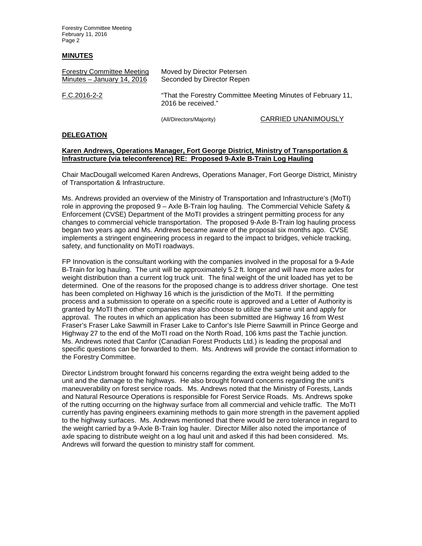Forestry Committee Meeting February 11, 2016 Page 2

#### **MINUTES**

| <b>Forestry Committee Meeting</b> | Moved by Director Petersen                                                         |
|-----------------------------------|------------------------------------------------------------------------------------|
| Minutes - January 14, 2016        | Seconded by Director Repen                                                         |
| F.C.2016-2-2                      | "That the Forestry Committee Meeting Minutes of February 11,<br>2016 be received." |

(All/Directors/Majority) CARRIED UNANIMOUSLY

#### **DELEGATION**

#### **Karen Andrews, Operations Manager, Fort George District, Ministry of Transportation & Infrastructure (via teleconference) RE: Proposed 9-Axle B-Train Log Hauling**

Chair MacDougall welcomed Karen Andrews, Operations Manager, Fort George District, Ministry of Transportation & Infrastructure.

Ms. Andrews provided an overview of the Ministry of Transportation and Infrastructure's (MoTI) role in approving the proposed 9 – Axle B-Train log hauling. The Commercial Vehicle Safety & Enforcement (CVSE) Department of the MoTI provides a stringent permitting process for any changes to commercial vehicle transportation. The proposed 9-Axle B-Train log hauling process began two years ago and Ms. Andrews became aware of the proposal six months ago. CVSE implements a stringent engineering process in regard to the impact to bridges, vehicle tracking, safety, and functionality on MoTI roadways.

FP Innovation is the consultant working with the companies involved in the proposal for a 9-Axle B-Train for log hauling. The unit will be approximately 5.2 ft. longer and will have more axles for weight distribution than a current log truck unit. The final weight of the unit loaded has yet to be determined. One of the reasons for the proposed change is to address driver shortage. One test has been completed on Highway 16 which is the jurisdiction of the MoTI. If the permitting process and a submission to operate on a specific route is approved and a Letter of Authority is granted by MoTI then other companies may also choose to utilize the same unit and apply for approval. The routes in which an application has been submitted are Highway 16 from West Fraser's Fraser Lake Sawmill in Fraser Lake to Canfor's Isle Pierre Sawmill in Prince George and Highway 27 to the end of the MoTI road on the North Road, 106 kms past the Tachie junction. Ms. Andrews noted that Canfor (Canadian Forest Products Ltd.) is leading the proposal and specific questions can be forwarded to them. Ms. Andrews will provide the contact information to the Forestry Committee.

Director Lindstrom brought forward his concerns regarding the extra weight being added to the unit and the damage to the highways. He also brought forward concerns regarding the unit's maneuverability on forest service roads. Ms. Andrews noted that the Ministry of Forests, Lands and Natural Resource Operations is responsible for Forest Service Roads. Ms. Andrews spoke of the rutting occurring on the highway surface from all commercial and vehicle traffic. The MoTI currently has paving engineers examining methods to gain more strength in the pavement applied to the highway surfaces. Ms. Andrews mentioned that there would be zero tolerance in regard to the weight carried by a 9-Axle B-Train log hauler. Director Miller also noted the importance of axle spacing to distribute weight on a log haul unit and asked if this had been considered. Ms. Andrews will forward the question to ministry staff for comment.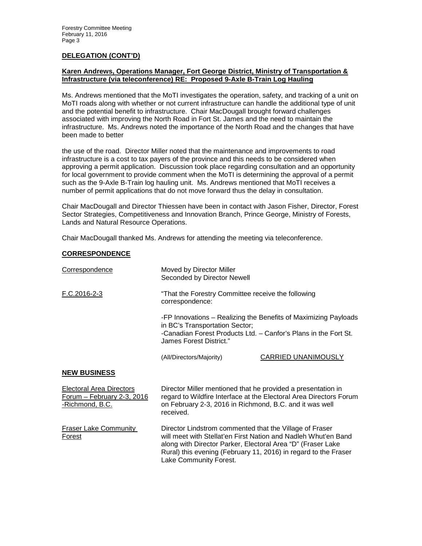#### **DELEGATION (CONT'D)**

### **Karen Andrews, Operations Manager, Fort George District, Ministry of Transportation & Infrastructure (via teleconference) RE: Proposed 9-Axle B-Train Log Hauling**

Ms. Andrews mentioned that the MoTI investigates the operation, safety, and tracking of a unit on MoTI roads along with whether or not current infrastructure can handle the additional type of unit and the potential benefit to infrastructure. Chair MacDougall brought forward challenges associated with improving the North Road in Fort St. James and the need to maintain the infrastructure. Ms. Andrews noted the importance of the North Road and the changes that have been made to better

the use of the road. Director Miller noted that the maintenance and improvements to road infrastructure is a cost to tax payers of the province and this needs to be considered when approving a permit application. Discussion took place regarding consultation and an opportunity for local government to provide comment when the MoTI is determining the approval of a permit such as the 9-Axle B-Train log hauling unit. Ms. Andrews mentioned that MoTI receives a number of permit applications that do not move forward thus the delay in consultation.

Chair MacDougall and Director Thiessen have been in contact with Jason Fisher, Director, Forest Sector Strategies, Competitiveness and Innovation Branch, Prince George, Ministry of Forests, Lands and Natural Resource Operations.

Chair MacDougall thanked Ms. Andrews for attending the meeting via teleconference.

### **CORRESPONDENCE**

| Correspondence                                                                           | Moved by Director Miller<br>Seconded by Director Newell                                                                                                                                                                                                     |                                                                 |
|------------------------------------------------------------------------------------------|-------------------------------------------------------------------------------------------------------------------------------------------------------------------------------------------------------------------------------------------------------------|-----------------------------------------------------------------|
| F.C.2016-2-3                                                                             | "That the Forestry Committee receive the following<br>correspondence:                                                                                                                                                                                       |                                                                 |
|                                                                                          | in BC's Transportation Sector;<br>-Canadian Forest Products Ltd. - Canfor's Plans in the Fort St.<br>James Forest District."                                                                                                                                | -FP Innovations - Realizing the Benefits of Maximizing Payloads |
|                                                                                          | (All/Directors/Majority)                                                                                                                                                                                                                                    | CARRIED UNANIMOUSLY                                             |
| <b>NEW BUSINESS</b>                                                                      |                                                                                                                                                                                                                                                             |                                                                 |
| <b>Electoral Area Directors</b><br><u> Forum – February 2-3, 2016</u><br>-Richmond, B.C. | Director Miller mentioned that he provided a presentation in<br>regard to Wildfire Interface at the Electoral Area Directors Forum<br>on February 2-3, 2016 in Richmond, B.C. and it was well<br>received.                                                  |                                                                 |
| <b>Fraser Lake Community</b><br><b>Forest</b>                                            | Director Lindstrom commented that the Village of Fraser<br>will meet with Stellat'en First Nation and Nadleh Whut'en Band<br>along with Director Parker, Electoral Area "D" (Fraser Lake<br>Rural) this evening (February 11, 2016) in regard to the Fraser |                                                                 |

Lake Community Forest.